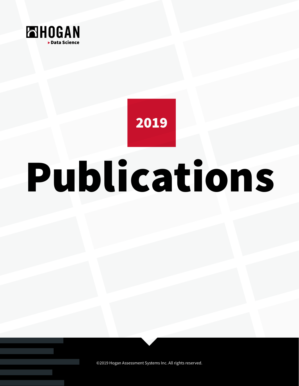

2019

# Publications

©2019 Hogan Assessment Systems Inc. All rights reserved.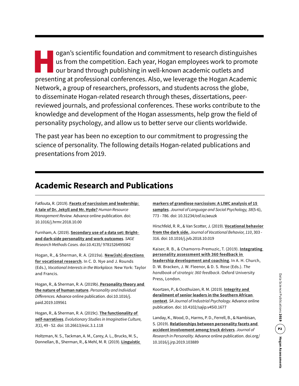ogan's scientific foundation and commitment to research distinguishes<br>us from the competition. Each year, Hogan employees work to promote<br>our brand through publishing in well-known academic outlets and<br>presenting at profes us from the competition. Each year, Hogan employees work to promote our brand through publishing in well-known academic outlets and presenting at professional conferences. Also, we leverage the Hogan Academic Network, a group of researchers, professors, and students across the globe, to disseminate Hogan-related research through theses, dissertations, peerreviewed journals, and professional conferences. These works contribute to the knowledge and development of the Hogan assessments, help grow the field of personality psychology, and allow us to better serve our clients worldwide.

The past year has been no exception to our commitment to progressing the science of personality. The following details Hogan-related publications and presentations from 2019.

### **Academic Research and Publications**

Fatfouta, R. (2019). **[Facets of narcissism and leadership:](https://www.researchgate.net/publication/328216944_Facets_of_narcissism_and_leadership_A_tale_of_Dr_Jekyll_and_Mr_Hyde)  [A tale of Dr. Jekyll and Mr. Hyde?](https://www.researchgate.net/publication/328216944_Facets_of_narcissism_and_leadership_A_tale_of_Dr_Jekyll_and_Mr_Hyde)** *Human Resource Management Review.* Advance online publication. doi: 10.1016/j.hrmr.2018.10.00

Furnham, A. (2019). **[Secondary use of a data set: Bright](http://methods.sagepub.com/case/secondary-use-of-data-set-bright-and-dark-side-personality-work-outcomes)[and dark-side personality and work outcomes](http://methods.sagepub.com/case/secondary-use-of-data-set-bright-and-dark-side-personality-work-outcomes)**. *SAGE Research Methods Cases.* doi:10.4135/ 9781526495082

Hogan, R., & Sherman, R. A. (2019a). **[New\(ish\) directions](https://www.taylorfrancis.com/books/e/9781315678924)  [for vocational research](https://www.taylorfrancis.com/books/e/9781315678924)**. In C. D. Nye and J. Rounds (Eds.), *Vocational Interests in the Workplace.* New York: Taylor and Francis.

Hogan, R., & Sherman, R. A. (2019b). **[Personality theory and](https://www.sciencedirect.com/science/article/pii/S0191886919304933)  [the nature of human nature](https://www.sciencedirect.com/science/article/pii/S0191886919304933)**. *Personality and Individual Differences.* Advance online publication. doi:10.1016/j. paid.2019.109561

Hogan, R., & Sherman, R. A. (2019c). **[The functionality of](https://www.jstor.org/stable/10.26613/esic.3.1.118?seq=1#page_scan_tab_contents)  [self-narratives](https://www.jstor.org/stable/10.26613/esic.3.1.118?seq=1#page_scan_tab_contents)**. *Evolutionary Studies in Imaginative Culture, 3*(1), 49 - 52. doi: 10.26613/esic.3.1.118

Holtzman, N. S., Tackman, A. M., Carey, A. L., Brucks, M. S., Donnellan, B., Sherman, R., & Mehl, M. R. (2019). **[Linguistic](https://journals.sagepub.com/doi/abs/10.1177/0261927X19871084?journalCode=jlsa)** 

### **[markers of grandiose narcissism: A LIWC analysis of 15](https://journals.sagepub.com/doi/abs/10.1177/0261927X19871084?journalCode=jlsa)  [samples](https://journals.sagepub.com/doi/abs/10.1177/0261927X19871084?journalCode=jlsa)**. *Journal of Language and Social Psychology, 38*(5-6),

773 - 786. doi: 10.31234/osf.io/aeuzk

Hirschfeld, R. R., & Van Scotter, J. (2019). **[Vocational behavior](https://www.sciencedirect.com/science/article/abs/pii/S0001879118301295)  [from the dark side.](https://www.sciencedirect.com/science/article/abs/pii/S0001879118301295)** *Journal of Vocational Behavior, 110*, 303 - 316. doi: 10.1016/j.jvb.2018.10.019

Kaiser, R. B., & Chamorro-Premuzic, T. (2019). **[Integrating](https://oxfordindex.oup.com/view/10.1093/oso/9780190879860.003.0012?rskey=NbUojR&result=45)  [personality assessment with 360 feedback in](https://oxfordindex.oup.com/view/10.1093/oso/9780190879860.003.0012?rskey=NbUojR&result=45)  [leadership development and coaching](https://oxfordindex.oup.com/view/10.1093/oso/9780190879860.003.0012?rskey=NbUojR&result=45)**. In A. H. Church, D. W. Bracken, J. W. Fleenor, & D. S. Rose (Eds.). *The handbook of strategic 360 feedback*. Oxford University Press, London.

Koortzen, P., & Oosthuizen, R. M. (2019). **[Integrity and](https://www.researchgate.net/publication/336686081_Integrity_and_derailment_of_senior_leaders_in_the_Southern_African_context)  [derailment of senior leaders in the Southern African](https://www.researchgate.net/publication/336686081_Integrity_and_derailment_of_senior_leaders_in_the_Southern_African_context)  [context](https://www.researchgate.net/publication/336686081_Integrity_and_derailment_of_senior_leaders_in_the_Southern_African_context)**. *SA Journal of Industrial Psychology.* Advance online publication. doi: 10.4102/sajip.v45i0.1677

Landay, K., Wood, D., Harms, P. D., Ferrell, B., & Nambisan, S. (2019). **[Relationships between personality facets and](https://www.sciencedirect.com/science/article/pii/S0092656619301102)  [accident involvement among truck drivers](https://www.sciencedirect.com/science/article/pii/S0092656619301102)**. *Journal of Research in Personality.* Advance online publication. doi.org/ 10.1016/j.jrp.2019.103889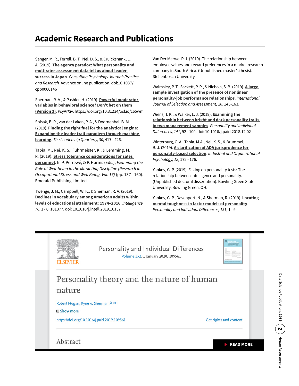# **Academic Research and Publications**

Sanger, M. R., Ferrell, B. T., Nei, D. S., & Cruickshank, L. A. (2019). **[The agency paradox: What personality and](https://www.deepdyve.com/lp/american-psychological-association/the-agency-paradox-what-personality-and-multirater-assessment-data-GnxZVAwo4A?impressionId=5d9e47a9b6773&i_medium=docview&i_campaign=recommendations&i_source=recommendations)  [multirater-assessment data tell us about leader](https://www.deepdyve.com/lp/american-psychological-association/the-agency-paradox-what-personality-and-multirater-assessment-data-GnxZVAwo4A?impressionId=5d9e47a9b6773&i_medium=docview&i_campaign=recommendations&i_source=recommendations)  [success in Japan](https://www.deepdyve.com/lp/american-psychological-association/the-agency-paradox-what-personality-and-multirater-assessment-data-GnxZVAwo4A?impressionId=5d9e47a9b6773&i_medium=docview&i_campaign=recommendations&i_source=recommendations)**. *Consulting Psychology Journal: Practice and Research.* Advance online publication. doi:10.1037/ cpb0000146

Sherman, R. A., & Pashler, H. (2019). **[Powerful moderator](https://psyarxiv.com/c65wm/)  [variables in behavioral science? Don't bet on them](https://psyarxiv.com/c65wm/)  [\(Version 3\)](https://psyarxiv.com/c65wm/)**. PsyArXiv. https://doi.org/10.31234/osf.io/c65wm

Spisak, B. R., van der Laken, P. A., & Doornenbal, B. M. (2019). **[Finding the right fuel for the analytical engine:](https://www.sciencedirect.com/science/article/pii/S1048984318302844)  [Expanding the leader trait paradigm through machine](https://www.sciencedirect.com/science/article/pii/S1048984318302844)  [learning](https://www.sciencedirect.com/science/article/pii/S1048984318302844)**. *The Leadership Quarterly, 30*, 417 - 426.

Tapia, M., Nei, K. S., Fuhrmeister, K., & Lemming, M. R. (2019). **[Stress tolerance considerations for sales](https://www.emerald.com/insight/content/doi/10.1108/S1479-355520190000017007/full/html)  [personnel](https://www.emerald.com/insight/content/doi/10.1108/S1479-355520190000017007/full/html)**. In P. Perrewé, & P. Harms (Eds.), *Examining the Role of Well-being in the Marketing Discipline (Research in Occupational Stress and Well Being, Vol. 17)* (pp. 137 - 160). Emerald Publishing Limited.

Twenge, J. M., Campbell, W. K., & Sherman, R. A. (2019). **[Declines in vocabulary among American adults within](https://www.sciencedirect.com/science/article/abs/pii/S0160289618302198)  [levels of educational attainment: 1974–2016](https://www.sciencedirect.com/science/article/abs/pii/S0160289618302198)**. *Intelligence, 76*, 1 - 6. 101377. doi: 10.1016/j.intell.2019.10137

Van Der Merwe, P. J. (2019). The relationship between employee values and reward preferences in a market research company in South Africa. (Unpublished master's thesis). Stellenbosch University.

Walmsley, P. T., Sackett, P. R., & Nichols, S. B. (2019). **[A large](https://onlinelibrary.wiley.com/doi/abs/10.1111/ijsa.12223?af=R)  [sample investigation of the presence of nonlinear](https://onlinelibrary.wiley.com/doi/abs/10.1111/ijsa.12223?af=R)  [personality-job performance relationships](https://onlinelibrary.wiley.com/doi/abs/10.1111/ijsa.12223?af=R)**. *International Journal of Selection and Assessment, 26*, 145-163.

Wiens, T. K., & Walker, L. J. (2019). **[Examining the](https://www.sciencedirect.com/science/article/abs/pii/S0191886918306603)  [relationship between bright and dark personality traits](https://www.sciencedirect.com/science/article/abs/pii/S0191886918306603)  [in two management samples](https://www.sciencedirect.com/science/article/abs/pii/S0191886918306603)**. *Personality and Individual Differences, 141*, 92 - 100. doi: 10.1016/j.paid.2018.12.02

Winterburg, C. A., Tapia, M.A., Nei, K. S., & Brummel, B. J. (2019). **[A clarification of ADA jurisprudence for](https://www.cambridge.org/core/journals/industrial-and-organizational-psychology/article/clarification-of-ada-jurisprudence-for-personalitybased-selection/6256CCAA111309CBEAA64B444999CB66)  [personality-based selection](https://www.cambridge.org/core/journals/industrial-and-organizational-psychology/article/clarification-of-ada-jurisprudence-for-personalitybased-selection/6256CCAA111309CBEAA64B444999CB66)**. *Industrial and Organizational Psychology, 12*, 172 - 176.

Yankov, G. P. (2019). Faking on personality tests: The relationship between intelligence and personality. (Unpublished doctoral dissertation). Bowling Green State University, Bowling Green, OH.

Yankov, G. P., Davenport, N., & Sherman, R. (2019). **[Locating](https://www.sciencedirect.com/science/article/abs/pii/S0191886919304647)  [mental toughness in factor models of personality](https://www.sciencedirect.com/science/article/abs/pii/S0191886919304647)**. *Personality and Individual Differences, 151*, 1 - 9.



Personality and Individual Differences Volume 152, 1 January 2020, 109561



Personality theory and the nature of human nature

Robert Hogan, Ryne A. Sherman &  $\boxtimes$ 

田 Show more

https://doi.org/10.1016/j.paid.2019.109561

Get rights and content

Abstract

READ MORE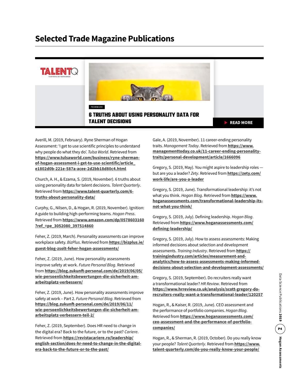## **Selected Trade Magazine Publications**



Averill, M. (2019, February). Ryne Sherman of Hogan Assessment: 'I get to use scientific principles to understand why people do what they do'. *Tulsa World*. Retrieved from **[https://www.tulsaworld.com/business/ryne-sherman](https://www.tulsaworld.com/business/ryne-sherman-of-hogan-assessment-i-get-to-use-scientific/article_e1802d0b-221e-587a-acee-2d2bb18d80c4.html )[of-hogan-assessment-i-get-to-use-scientific/article\\_](https://www.tulsaworld.com/business/ryne-sherman-of-hogan-assessment-i-get-to-use-scientific/article_e1802d0b-221e-587a-acee-2d2bb18d80c4.html ) [e1802d0b-221e-587a-acee-2d2bb18d80c4.html](https://www.tulsaworld.com/business/ryne-sherman-of-hogan-assessment-i-get-to-use-scientific/article_e1802d0b-221e-587a-acee-2d2bb18d80c4.html )**

Church, A. H., & Ezama, S. (2019, November). 6 truths about using personality data for talent decisions. *Talent Quarterly*. Retrieved from **[https://www.talent-quarterly.com/6](https://www.talent-quarterly.com/6-truths-about-personality-data/) [truths-about-personality-data/](https://www.talent-quarterly.com/6-truths-about-personality-data/)**

Curphy, G., Nilsen, D., & Hogan, R. (2019, November). Ignition: A guide to building high-performing teams. *Hogan Press*. Retrieved from **[https://www.amazon.com/dp/0578603160](https://www.amazon.com/dp/0578603160?ref_=pe_3052080_397514860) [?ref\\_=pe\\_3052080\\_397514860](https://www.amazon.com/dp/0578603160?ref_=pe_3052080_397514860)**

Feher, Z. (2019, March). Personality assessments can improve workplace safety. *BizPlus*. Retrieved from **[https://bizplus.ie/](https://bizplus.ie/guest-blog-zsolt-feher-hogan-assessments/) [guest-blog-zsolt-feher-hogan-assessments/](https://bizplus.ie/guest-blog-zsolt-feher-hogan-assessments/)**

Feher, Z. (2019, June). How personality assessments improve safety at work. *Future Personal Blog*. Retrieved from **[https://blog.zukunft-personal.com/de/2019/06/05/](https://blog.zukunft-personal.com/de/2019/06/05/wie-persoenlichkeitsbewertungen-die-sicherheit-am-arbeitsplatz-verbessern/ ) [wie-persoenlichkeitsbewertungen-die-sicherheit-am](https://blog.zukunft-personal.com/de/2019/06/05/wie-persoenlichkeitsbewertungen-die-sicherheit-am-arbeitsplatz-verbessern/ )[arbeitsplatz-verbessern/](https://blog.zukunft-personal.com/de/2019/06/05/wie-persoenlichkeitsbewertungen-die-sicherheit-am-arbeitsplatz-verbessern/ )**

Feher, Z. (2019, June). How personality assessments improve safety at work – Part 2. *Future Personal Blog*. Retrieved from **[https://blog.zukunft-personal.com/de/2019/06/11/](https://blog.zukunft-personal.com/de/2019/06/11/wie-persoenlichkeitsbewertungen-die-sicherheit-am-arbeitsplatz-verbessern-teil-2/ ) [wie-persoenlichkeitsbewertungen-die-sicherheit-am](https://blog.zukunft-personal.com/de/2019/06/11/wie-persoenlichkeitsbewertungen-die-sicherheit-am-arbeitsplatz-verbessern-teil-2/ )[arbeitsplatz-verbessern-teil-2/](https://blog.zukunft-personal.com/de/2019/06/11/wie-persoenlichkeitsbewertungen-die-sicherheit-am-arbeitsplatz-verbessern-teil-2/ )**

Feher, Z. (2019, September). Does HR need to change in the digital era? Back to the future, or to the past? *Cariere*. Retrieved from **[https://revistacariere.ro/leadership/](https://revistacariere.ro/leadership/english-section/does-hr-need-to-change-in-the-digital-era-back-to-the-future-or-to-the-past/) [english-section/does-hr-need-to-change-in-the-digital](https://revistacariere.ro/leadership/english-section/does-hr-need-to-change-in-the-digital-era-back-to-the-future-or-to-the-past/)[era-back-to-the-future-or-to-the-past/](https://revistacariere.ro/leadership/english-section/does-hr-need-to-change-in-the-digital-era-back-to-the-future-or-to-the-past/)**

Gale, A. (2019, November). 11 career-ending personality traits. *Management Today*. Retrieved from **[https://www.](https://www.managementtoday.co.uk/11-career-ending-personality-traits/personal-development/article/1666096) [managementtoday.co.uk/11-career-ending-personality](https://www.managementtoday.co.uk/11-career-ending-personality-traits/personal-development/article/1666096)[traits/personal-development/article/1666096](https://www.managementtoday.co.uk/11-career-ending-personality-traits/personal-development/article/1666096)**

Gregory, S. (2019, May). You might aspire to leadership roles but are you a leader? *Zety*. Retrieved from **[https://zety.com/](https://zety.com/work-life/are-you-a-leader) [work-life/are-you-a-leader](https://zety.com/work-life/are-you-a-leader)**

Gregory, S. (2019, June). Transformational leadership: it's not what you think. *Hogan Blog*. Retrieved from **[https://www.](https://www.hoganassessments.com/transformational-leadership-its-not-what-you-think/) [hoganassessments.com/transformational-leadership-its](https://www.hoganassessments.com/transformational-leadership-its-not-what-you-think/)[not-what-you-think/](https://www.hoganassessments.com/transformational-leadership-its-not-what-you-think/)**

Gregory, S. (2019, July). Defining leadership. *Hogan Blog*. Retrieved from **[https://www.hoganassessments.com/](https://www.hoganassessments.com/defining-leadership/) [defining-leadership/](https://www.hoganassessments.com/defining-leadership/)**

Gregory, S. (2019, July). How to assess assessments: Making informed decisions about selection and development assessments. *Training Industry*. Retrieved from **[https://](https://trainingindustry.com/articles/measurement-and-analytics/how-to-assess-assessments-making-informed-decisions-about-selection-and-development-assessments/) [trainingindustry.com/articles/measurement-and](https://trainingindustry.com/articles/measurement-and-analytics/how-to-assess-assessments-making-informed-decisions-about-selection-and-development-assessments/)[analytics/how-to-assess-assessments-making-informed](https://trainingindustry.com/articles/measurement-and-analytics/how-to-assess-assessments-making-informed-decisions-about-selection-and-development-assessments/)[decisions-about-selection-and-development-assessments/](https://trainingindustry.com/articles/measurement-and-analytics/how-to-assess-assessments-making-informed-decisions-about-selection-and-development-assessments/)**

Gregory, S. (2019, September). Do recruiters really want a transformational leader? *HR Review*. Retrieved from **[https://www.hrreview.co.uk/analysis/scott-gregory-do](https://www.hrreview.co.uk/analysis/scott-gregory-do-recruiters-really-want-a-transformational-leader/120257 )[recruiters-really-want-a-transformational-leader/120257](https://www.hrreview.co.uk/analysis/scott-gregory-do-recruiters-really-want-a-transformational-leader/120257 )**

Hogan, R., & Kaiser, R. (2019, June). CEO assessment and the performance of portfolio companies. *Hogan Blog*. Retrieved from **[https://www.hoganassessments.com/](https://www.hoganassessments.com/ceo-assessment-and-the-performance-of-portfolio-companies/) [ceo-assessment-and-the-performance-of-portfolio](https://www.hoganassessments.com/ceo-assessment-and-the-performance-of-portfolio-companies/)[companies/](https://www.hoganassessments.com/ceo-assessment-and-the-performance-of-portfolio-companies/)**

Hogan, R., & Sherman, R. (2019, October). Do you really know your people? *Talent Quarterly*. Retrieved from **[https://www.](https://www.talent-quarterly.com/do-you-really-know-your-people/ ) [talent-quarterly.com/do-you-really-know-your-people/](https://www.talent-quarterly.com/do-you-really-know-your-people/ )**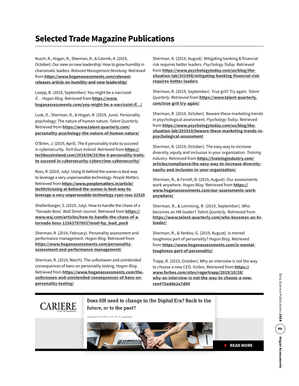# **Selected Trade Magazine Publications**

Kusch, R., Hogan, R., Sherman, R., & Czernik, A. (2019, October). Our view on new leadership: How to grow humility in charismatic leaders. *Relevant Management Beratung*. Retrieved from **[https://www.hoganassessments.com/relevant]( https://www.hoganassessments.com/relevant-releases-article-on-humility-and-new-leadership/ )[releases-article-on-humility-and-new-leadership/]( https://www.hoganassessments.com/relevant-releases-article-on-humility-and-new-leadership/ )**

Loepp, B. (2019, September). You might be a narcissist if… *Hogan Blog*. Retrieved from **[https://www.](https://www.hoganassessments.com/you-might-be-a-narcissist-if/) [hoganassessments.com/you-might-be-a-narcissist-if…/](https://www.hoganassessments.com/you-might-be-a-narcissist-if/)**

Lusk, D., Sherman, R., & Hogan, R. (2019, June). Personality psychology: The nature of human nature. *Talent Quarterly*. Retrieved from **[https://www.talent-quarterly.com/](https://www.talent-quarterly.com/personality-psychology-the-nature-of-human-nature/) [personality-psychology-the-nature-of-human-nature/](https://www.talent-quarterly.com/personality-psychology-the-nature-of-human-nature/)**

O'Brien, J. (2019, April). The 8 personality traits to succeed in cybersecurity. *Tech Buzz Ireland*. Retrieved from **[https://](https://techbuzzireland.com/2019/04/25/the-8-personality-traits-to-succeed-in-cybersecurity-cybercrime-cybersecurity/) [techbuzzireland.com/2019/04/25/the-8-personality-traits](https://techbuzzireland.com/2019/04/25/the-8-personality-traits-to-succeed-in-cybersecurity-cybercrime-cybersecurity/)[to-succeed-in-cybersecurity-cybercrime-cybersecurity/](https://techbuzzireland.com/2019/04/25/the-8-personality-traits-to-succeed-in-cybersecurity-cybercrime-cybersecurity/)**

Ross, R. (2019, July). Using AI behind the scenes is best way to leverage a very unpersonable technology. *People Matters*. Retrieved from **[https://www.peoplematters.in/article/](https://www.peoplematters.in/article/techhrin/using-ai-behind-the-scenes-is-best-way-to-leverage-a-very-unpersonable-technology-ryan-ross-22520) [techhrin/using-ai-behind-the-scenes-is-best-way-to](https://www.peoplematters.in/article/techhrin/using-ai-behind-the-scenes-is-best-way-to-leverage-a-very-unpersonable-technology-ryan-ross-22520)[leverage-a-very-unpersonable-technology-ryan-ross-22520](https://www.peoplematters.in/article/techhrin/using-ai-behind-the-scenes-is-best-way-to-leverage-a-very-unpersonable-technology-ryan-ross-22520)**

Shellenbarger, S. (2019, July). How to handle the chaos of a 'Tornado Boss'. *Wall Street Journal*. Retrieved from **[https://](https://www.wsj.com/articles/how-to-handle-the-chaos-of-a-tornado-boss-11563787803?mod=hp_lead_pos8) [www.wsj.com/articles/how-to-handle-the-chaos-of-a](https://www.wsj.com/articles/how-to-handle-the-chaos-of-a-tornado-boss-11563787803?mod=hp_lead_pos8)[tornado-boss-11563787803?mod=hp\\_lead\\_pos8](https://www.wsj.com/articles/how-to-handle-the-chaos-of-a-tornado-boss-11563787803?mod=hp_lead_pos8)**

Sherman, R. (2019, February). Personality assessment and performance management. *Hogan Blog*. Retrieved from **[https://www.hoganassessments.com/personality](https://www.hoganassessments.com/personality-assessment-and-performance-management/)[assessment-and-performance-management/](https://www.hoganassessments.com/personality-assessment-and-performance-management/)**

Sherman, R. (2019, March). The unforeseen and unintended consequences of bans on personality testing. *Hogan Blog*. Retrieved from **[https://www.hoganassessments.com/the](https://www.hoganassessments.com/the-unforeseen-and-unintended-consequences-of-bans-on-personality-testing/)[unforeseen-and-unintended-consequences-of-bans-on](https://www.hoganassessments.com/the-unforeseen-and-unintended-consequences-of-bans-on-personality-testing/)[personality-testing/](https://www.hoganassessments.com/the-unforeseen-and-unintended-consequences-of-bans-on-personality-testing/)**

Sherman, R. (2019, August). Mitigating banking & financial risk requires better leaders. *Psychology Today*. Retrieved from **[https://www.psychologytoday.com/us/blog/the](https://www.psychologytoday.com/us/blog/the-situation-lab/201908/mitigating-banking-financial-risk-requires-better-leaders )[situation-lab/201908/mitigating-banking-financial-risk](https://www.psychologytoday.com/us/blog/the-situation-lab/201908/mitigating-banking-financial-risk-requires-better-leaders )[requires-better-leaders](https://www.psychologytoday.com/us/blog/the-situation-lab/201908/mitigating-banking-financial-risk-requires-better-leaders )**

Sherman, R. (2019, September). True grit? Try again. *Talent Quarterly*. Retrieved from **[https://www.talent-quarterly.](https://www.talent-quarterly.com/true-grit-try-again/) [com/true-grit-try-again/](https://www.talent-quarterly.com/true-grit-try-again/)**

Sherman, R. (2019, October). Beware these marketing trends in psychological assessment. *Psychology Today*. Retrieved from **[https://www.psychologytoday.com/us/blog/the](https://www.psychologytoday.com/us/blog/the-situation-lab/201910/beware-these-marketing-trends-in-psychological-assessment )[situation-lab/201910/beware-these-marketing-trends-in](https://www.psychologytoday.com/us/blog/the-situation-lab/201910/beware-these-marketing-trends-in-psychological-assessment )[psychological-assessment](https://www.psychologytoday.com/us/blog/the-situation-lab/201910/beware-these-marketing-trends-in-psychological-assessment )**

Sherman, R. (2019, October). The easy way to increase diversity, equity and inclusion in your organization. *Training Industry*. Retrieved from **[https://trainingindustry.com/](https://trainingindustry.com/articles/compliance/the-easy-way-to-increase-diversity-equity-and-inclusion-in-your-organization/) [articles/compliance/the-easy-way-to-increase-diversity](https://trainingindustry.com/articles/compliance/the-easy-way-to-increase-diversity-equity-and-inclusion-in-your-organization/)[equity-and-inclusion-in-your-organization/](https://trainingindustry.com/articles/compliance/the-easy-way-to-increase-diversity-equity-and-inclusion-in-your-organization/)**

Sherman, R., & Ferrell, B. (2019, August). Our assessments work anywhere. *Hogan Blog*. Retrieved from **[https://](https://www.hoganassessments.com/our-assessments-work-anywhere/) [www.hoganassessments.com/our-assessments-work](https://www.hoganassessments.com/our-assessments-work-anywhere/)[anywhere/](https://www.hoganassessments.com/our-assessments-work-anywhere/)**

Sherman, R., & Lemming, R. (2019, September). Who becomes an HR leader? *Talent Quarterly*. [Retrieved from](http://www.talent-quarterly.com/who-becomes-an-hr-leader/ ) **[https://www.talent-quarterly.com/who-becomes-an-hr](http://www.talent-quarterly.com/who-becomes-an-hr-leader/ )[leader/](http://www.talent-quarterly.com/who-becomes-an-hr-leader/ )**

Sherman, R., & Yankov, G. (2019, August). Is mental toughness part of personality? *Hogan Blog*. Retrieved from **[https://www.hoganassessments.com/is-mental](https://www.hoganassessments.com/is-mental-toughness-part-of-personality/)[toughness-part-of-personality/](https://www.hoganassessments.com/is-mental-toughness-part-of-personality/)**

Trapp, R. (2019, October). Why an interview is not the way to choose a new CEO. *Forbes*. Retrieved from **[https://](https://www.forbes.com/sites/rogertrapp/2019/10/28/why-an-interview-is-not-the-way-to-choose-a-new-ceo#75adde2a7d84) [www.forbes.com/sites/rogertrapp/2019/10/28/](https://www.forbes.com/sites/rogertrapp/2019/10/28/why-an-interview-is-not-the-way-to-choose-a-new-ceo#75adde2a7d84) [why-an-interview-is-not-the-way-to-choose-a-new](https://www.forbes.com/sites/rogertrapp/2019/10/28/why-an-interview-is-not-the-way-to-choose-a-new-ceo#75adde2a7d84)[ceo#75adde2a7d84](https://www.forbes.com/sites/rogertrapp/2019/10/28/why-an-interview-is-not-the-way-to-choose-a-new-ceo#75adde2a7d84)**



Does HR need to change in the Digital Era? Back to the future, or to the past?

nbrie 18, 2019 13:11 · de Zsolt Feher